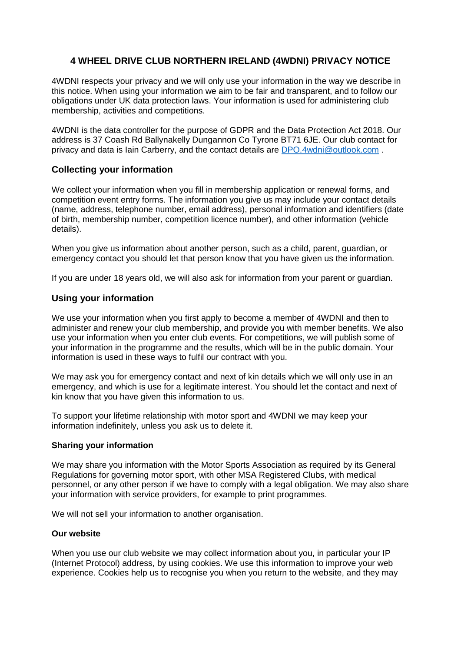# **4 WHEEL DRIVE CLUB NORTHERN IRELAND (4WDNI) PRIVACY NOTICE**

4WDNI respects your privacy and we will only use your information in the way we describe in this notice. When using your information we aim to be fair and transparent, and to follow our obligations under UK data protection laws. Your information is used for administering club membership, activities and competitions.

4WDNI is the data controller for the purpose of GDPR and the Data Protection Act 2018. Our address is 37 Coash Rd Ballynakelly Dungannon Co Tyrone BT71 6JE. Our club contact for privacy and data is Iain Carberry, and the contact details are [DPO.4wdni@outlook.com](mailto:DPO.4wdni@outlook.com) .

# **Collecting your information**

We collect your information when you fill in membership application or renewal forms, and competition event entry forms. The information you give us may include your contact details (name, address, telephone number, email address), personal information and identifiers (date of birth, membership number, competition licence number), and other information (vehicle details).

When you give us information about another person, such as a child, parent, guardian, or emergency contact you should let that person know that you have given us the information.

If you are under 18 years old, we will also ask for information from your parent or guardian.

## **Using your information**

We use your information when you first apply to become a member of 4WDNI and then to administer and renew your club membership, and provide you with member benefits. We also use your information when you enter club events. For competitions, we will publish some of your information in the programme and the results, which will be in the public domain. Your information is used in these ways to fulfil our contract with you.

We may ask you for emergency contact and next of kin details which we will only use in an emergency, and which is use for a legitimate interest. You should let the contact and next of kin know that you have given this information to us.

To support your lifetime relationship with motor sport and 4WDNI we may keep your information indefinitely, unless you ask us to delete it.

### **Sharing your information**

We may share you information with the Motor Sports Association as required by its General Regulations for governing motor sport, with other MSA Registered Clubs, with medical personnel, or any other person if we have to comply with a legal obligation. We may also share your information with service providers, for example to print programmes.

We will not sell your information to another organisation.

#### **Our website**

When you use our club website we may collect information about you, in particular your IP (Internet Protocol) address, by using cookies. We use this information to improve your web experience. Cookies help us to recognise you when you return to the website, and they may